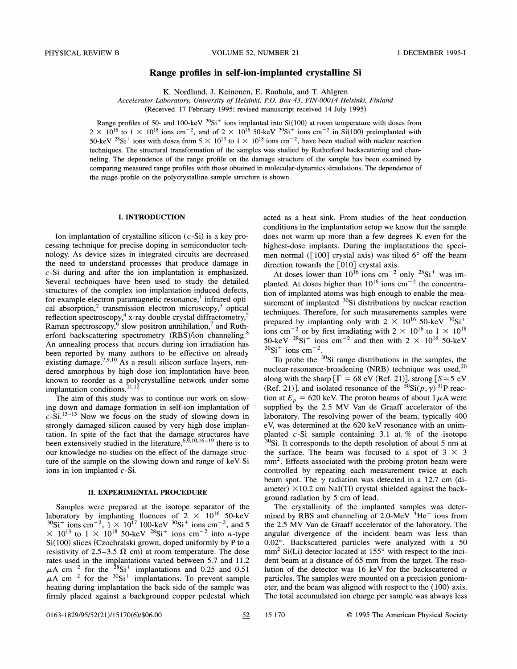## Range profiles in self-ion-implanted crystalline Si

K. Nordlund, J. Keinonen, E. Rauhala, and T. Ahlgren

Accelerator Laboratory, University of Helsinki, P.O. Box 43, FIN-00014 Helsinki, Finland

(Received 17 February 1995; revised manuscript received 14 July 1995)

Range profiles of 50- and 100-keV  ${}^{30}Si^+$  ions implanted into  $Si(100)$  at room temperature with doses from  $2 \times 10^{16}$  to  $1 \times 10^{18}$  ions cm<sup>-2</sup>, and of  $2 \times 10^{16}$  50-keV  $3^{0}$ Si<sup>+</sup> ions cm<sup>-2</sup> in Si(100) preimplanted with 50-keV <sup>28</sup>Si<sup>+</sup> ions with doses from  $5 \times 10^{13}$  to  $1 \times 10^{18}$  ions cm<sup>-2</sup>, have been studied with nuclear reaction techniques. The structural transformation of the samples was studied by Rutherford backscattering and channeling. The dependence of the range profile on the damage structure of the sample has been examined by comparing measured range profiles with those obtained in molecular-dynamics simulations. The dependence of the range profile on the polycrystalline sample structure is shown.

## I. INTRODUCTION

Ion implantation of crystalline silicon  $(c-Si)$  is a key processing technique for precise doping in semiconductor technology. As device sizes in integrated circuits are decreased the need to understand processes that produce damage in c-Si during and after the ion implantation is emphasized. Several techniques have been used to study the detailed structures of the complex ion-implantation-induced defects, for example electron paramagnetic resonance, infrared optical absorption,<sup>2</sup> transmission electron microscopy,<sup>3</sup> optical reflection spectroscopy,<sup>4</sup> x-ray double crystal diffractometry Raman spectroscopy,<sup>6</sup> slow positron annihilation,<sup>*'*</sup> and Rutherford backscattering spectrometry (RBS)/ion channeling.<sup>8</sup> An annealing process that occurs during ion irradiation has been reported by many authors to be effective on already existing damage.<sup>7,9,10</sup> As a result silicon surface layers, rendered amorphous by high dose ion implantation have been known to reorder as a polycrystalline network under some known to reorder as a poly<br>implantation conditions.<sup>11,12</sup>

The aim of this study was to continue our work on slowing down and damage formation in self-ion implantation of  $c$ -Si.<sup>13-15</sup> Now we focus on the study of slowing down in strongly damaged silicon caused by very high dose implantation. In spite of the fact that the damage structures have been extensively studied in the literature,  $6,9,10,16-19$  there is to our knowledge no studies on the effect of the damage structure of the sample on the slowing down and range of keV Si ions in ion implanted  $c$ -Si.

### II. EXPERIMENTAL PROCEDURE

Samples were prepared at the isotope separator of the laboratory by implanting fluences of  $2 \times 10^{16}$  50-keV<br><sup>30</sup>Si<sup>+</sup> ions cm<sup>-2</sup>, 1 × 10<sup>17</sup> 100-keV <sup>30</sup>Si<sup>+</sup> ions cm<sup>-2</sup>, and 5  $\times$  10<sup>13</sup> to 1  $\times$  10<sup>18</sup> 50-keV <sup>28</sup>Si<sup>+</sup> ions cm<sup>-2</sup> into *n*-type Si(100) slices (Czochralski grown, doped uniformly by P to a resistivity of 2.5–3.5  $\Omega$  cm) at room temperature. The dose rates used in the implantations varied between 5.7 and 11.2  $\mu$ A cm<sup>-2</sup> for the <sup>28</sup>Si<sup>+</sup> implantations and 0.25 and 0.51  $\mu$ A cm<sup>-2</sup> for the <sup>30</sup>Si<sup>+</sup> implantations. To prevent sample heating during implantation the back side of the sample was firmly placed against a background copper pedestal which acted as a heat sink. From studies of the heat conduction conditions in the implantation setup we know that the sample does not warm up more than a few degrees K even for the highest-dose implants. During the implantations the specimen normal ( $\lceil 100 \rceil$  crystal axis) was tilted 6° off the beam direction towards the [010] crystal axis.

At doses lower than  $10^{16}$  ions cm<sup>-2</sup> only <sup>28</sup>Si<sup>+</sup> was implanted. At doses higher than  $10^{16}$  ions cm<sup>-2</sup> the concentration of implanted atoms was high enough to enable the measurement of implanted  $30$ Si distributions by nuclear reaction techniques. Therefore, for such measurements samples were prepared by implanting only with  $2 \times 10^{16}$  50-keV  $30$ Si<sup>+</sup> ions cm<sup>-2</sup> or by first irradiating with  $2 \times 10^{16}$  to  $1 \times 10^{18}$ 50-keV  $^{28}Si^{+}$  ions cm<sup>-2</sup> and then with 2  $\times$  10<sup>16</sup> 50-keV  $30$ Si<sup>+</sup> ions cm<sup>-2</sup>.

To probe the  $30Si$  range distributions in the samples, the nuclear-resonance-broadening (NRB) technique was used, $^{20}$ along with the sharp  $[\Gamma = 68 \text{ eV (Ref. 21)}]$ , strong  $[S=5 \text{ eV}$ (Ref. 21)], and isolated resonance of the  ${}^{30}Si(p, \gamma)^{31}P$  reaction at  $E_p = 620$  keV. The proton beams of about  $1 \mu$ A were supplied by the 2.5 MV Van de Graaff accelerator of the laboratory. The resolving power of the beam, typically 400 eV, was determined at the 620 keV resonance with an unimplanted  $c$ -Si sample containing 3.1 at. % of the isotope  $30\text{Si}$ . It corresponds to the depth resolution of about 5 nm at the surface. The beam was focused to a spot of  $3 \times 3$  $mm<sup>2</sup>$ . Effects associated with the probing proton beam were controlled by repeating each measurement twice at each beam spot. The  $\gamma$  radiation was detected in a 12.7 cm (diameter)  $\times$ 10.2 cm NaI(TI) crystal shielded against the background radiation by 5 cm of lead.

The crystallinity of the implanted samples was determined by RBS and channeling of  $2.0$ -MeV  $^{4}$ He<sup>+</sup> ions from the 2.5 MV Van de Graaff accelerator of the laboratory. The angular divergence of the incident beam was less than  $0.02^{\circ}$ . Backscattered particles were analyzed with a 50  $mm<sup>2</sup>$  Si(Li) detector located at 155 $^{\circ}$  with respect to the incident beam at a distance of 65 mm from the target. The resolution of the detector was 16 keV for the backscattered  $\alpha$ particles. The samples were mounted on a precision goniometer, and the beam was aligned with respect to the (100) axis. The total accumulated ion charge per sample was always less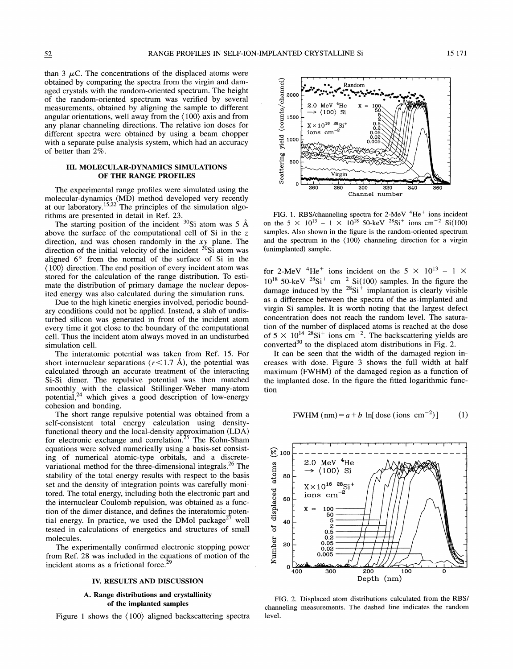than 3  $\mu$ C. The concentrations of the displaced atoms were mparing the spectra from the virgin and d ged crystals with the random-oriented spectrum. The height of the random-oriented spectrum was verified by several measurements, obtained by aligning the sample to different gular orientations, well away from the  $\langle 100 \rangle$ any planar channeling directions. The relative ion doses for any pianar channeling directions. The relative is<br>different spectra were obtained by using a b<br>with a separate pulse analysis system, which had of better than 2%.

## III. MOLECULAR-DYNAMICS SIMULATIONS OF THE RANGE PROFILES

The experimental range profiles were simulated using the molecular-dynamics (MD) method developed<br>at our laboratory.<sup>15,22</sup> The principles of the s rithms are presented in detail in Ref.

g position of the incident  $30$ Si at of the computational cell of Si in direction, and was chosen randomly in the xy plane. The direction of the initial velocity of the incident  $\frac{30}{31}$  atom was aligned  $6^{\circ}$  from the normal of the surface of Si in the  $\langle 100 \rangle$  direction. The end position of every incident atom was stored for the calculation of the range distribution. To estibution of primary damage the nuclear deposso calculated during the si

s generated in front of the incident at every time it got close to the boundary of the computational cell. Thus the incident atom always moved in an undisturbed simulation cell.

The interatomic potential was taken from Ref. 15. For short internuclear separations ( $r$ <1.7 Å), the potential was calculated through an accurate treatment of the interacting Si-Si dimer. The repulsive potential was then matched with the classical Stillinger-Weber many-ator otential,<sup>24</sup> which gives a good description of low-energy cohesion and bonding.

ge repulsive potential was obtained from a nt total energy calculation using the local-density approximation  $(LDA)$ for electronic exchange and correlation.<sup>25</sup> The Kohn-Sham equations were solved numerically using a basis-set consisting of numerical atomic-type orbitals, and a discretevariational method for the three-dimensional integrals.<sup>26</sup> The stability of the total energy results with respect to the basis set and the density of integration points was carefully monitored. The total energy, including both the electronic part and the internuclear Coulomb repulsion, was obtained as a function of the dimer distance, and defines the interatomic potential energy. In practice, we used the DMol package<sup>27</sup> well tested in calculations of energetics and structures of small molecules.

The experimentally confirmed electronic stopping power from Ref. 28 was included in the equations of motion of the incident atoms as a frictional force.<sup>29</sup>

### IV. RESULTS AND DISCUSSION

# A. Range distributions and crystallinity of the implanted samples

Figure <sup>1</sup> shows the (100) aligned backscattering spectra



FIG. 1. RBS/channeling spectra for  $2$ -MeV  $^{4}$ He<sup>+</sup> ions incident on the 5  $\times$  10<sup>13</sup> - 1  $\times$  10<sup>18</sup> 50-keV <sup>28</sup>Si<sup>+</sup> ions cm<sup>-2</sup> Si( samples. Also shown in the figure is the random-oriented spectrum and the spectrum in the  $\langle 100 \rangle$  channeling direction for a virgin (unimplanted) sample.

for 2-MeV <sup>4</sup>He<sup>+</sup> ions incident on the 5  $\times$  10<sup>13</sup> – 1  $\times$  $Si<sup>+</sup>$  cm<sup>-2</sup> Si(100) samples. In the figure the by the <sup>28</sup>Si<sup>+</sup> implantation is clearly visible as a difference between the spectra of the as-implanted and virgin Si samples. It is worth noting that the largest defect concentration does not reach the random level. The saturation of the number of displaced atoms is reached at the dose of  $5 \times 10^{14}$  <sup>28</sup>Si<sup>+</sup> ions cm<sup>-2</sup>. The backscattering yields are converted<sup>30</sup> to the displaced atom distributions in Fig. 2.

It can be seen that the width of the damaged region increases with dose. Figure 3 shows the full width at half maximum (FWHM) of the damaged region as a function of the implanted dose. In the figure the fitted logarithmic function

$$
FWHM (nm) = a + b \ln[
$$
 does (ions cm<sup>-2</sup>)] (1)



FIG. 2. Displaced atom distributions calculated from the RBS/ channeling measurements. The dashed line indicates the random level.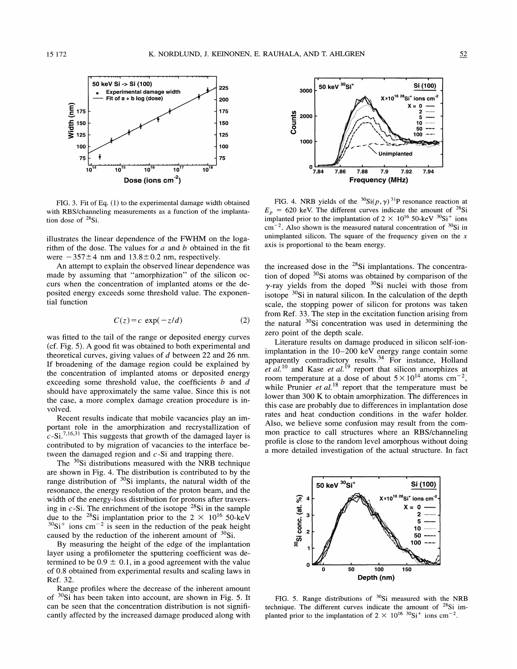

FIG. 3. Fit of Eq. (I) to the experimental damage width obtained with RBS/channeling measurements as a function of the implantation dose of  ${}^{28}Si$ .

illustrates the linear dependence of the FWHM on the logarithm of the dose. The values for  $a$  and  $b$  obtained in the fit were  $-357±4$  nm and  $13.8±0.2$  nm, respectively.

An attempt to explain the observed linear dependence was made by assuming that "amorphization" of the silicon occurs when the concentration of implanted atoms or the deposited energy exceeds some threshold value. The exponential function

$$
C(z) = c \exp(-z/d) \tag{2}
$$

was fitted to the tail of the range or deposited energy curves (cf. Fig. 5). A good fit was obtained to both experimental and theoretical curves, giving values of  $d$  between 22 and 26 nm. If broadening of the damage region could be explained by the concentration of implanted atoms or deposited energy exceeding some threshold value, the coefficients  $b$  and  $d$ should have approximately the same value. Since this is not the case, a more complex damage creation procedure is involved.

Recent results indicate that mobile vacancies play an important role in the amorphization and recrystallization of ' $c$ -Si.<sup>7,16,31</sup> This suggests that growth of the damaged layer is contributed to by migration of vacancies to the interface between the damaged region and  $c$ -Si and trapping there.

The  $30\text{Si}$  distributions measured with the NRB technique are shown in Fig. 4. The distribution is contributed to by the range distribution of  $30Si$  implants, the natural width of the resonance, the energy resolution of the proton beam, and the width of the energy-loss distribution for protons after traversing in  $c$ -Si. The enrichment of the isotope  $28$ Si in the sample due to the <sup>28</sup>Si implantation prior to the  $2 \times 10^{16}$  50-keV  $Si<sup>+</sup>$  ions cm<sup>-2</sup> is seen in the reduction of the peak height caused by the reduction of the inherent amount of  $30Si$ .

By measuring the height of the edge of the implantation layer using a profilometer the sputtering coefficient was determined to be  $0.9 \pm 0.1$ , in a good agreement with the value of 0.8 obtained from experimental results and scaling laws in Ref. 32.

Range profiles where the decrease of the inherent amount of  $30Si$  has been taken into account, are shown in Fig. 5. It can be seen that the concentration distribution is not significantly affected by the increased damage produced along with



FIG. 4. NRB yields of the  ${}^{30}Si(p, \gamma) {}^{31}P$  resonance reaction at  $E<sub>p</sub>$  = 620 keV. The different curves indicate the amount of <sup>28</sup>Si implanted prior to the implantation of  $2 \times 10^{16}$  50-keV  $30$ Si<sup>+</sup> ions  $\text{cm}^{-2}$ . Also shown is the measured natural concentration of  $\text{^{30}Si}$  in unimplanted silicon. The square of the frequency given on the  $x$ axis is proportional to the beam energy.

the increased dose in the  $28Si$  implantations. The concentration of doped  $30$ Si atoms was obtained by comparison of the  $\gamma$ -ray yields from the doped  $^{30}$ Si nuclei with those from isotope  $30\text{Si}$  in natural silicon. In the calculation of the depth scale, the stopping power of silicon for protons was taken from Ref. 33. The step in the excitation function arising from the natural  $30Si$  concentration was used in determining the zero point of the depth scale.

Literature results on damage produced in silicon self-ionimplantation in the 10—200 keV energy range contain some apparently contradictory results.<sup>34</sup> For instance, Holland *et al.*<sup>10</sup> and Kase *et al.*<sup>19</sup> report that silicon amorphizes at room temperature at a dose of about  $5 \times 10^{14}$  atoms cm<sup>-2</sup>, while Prunier *et al.*<sup>18</sup> report that the temperature must be lower than 300 K to obtain amorphization. The differences in this case are probably due to differences in implantation dose rates and heat conduction conditions in the wafer holder. Also, we believe some confusion may result from the common practice to call structures where an RBS/channeling profile is close to the random level amorphous without doing a more detailed investigation of the actual structure. In fact



FIG. 5. Range distributions of  $^{30}Si$  measured with the NRB technique. The different curves indicate the amount of  $28Si$  implanted prior to the implantation of  $2 \times 10^{16}$  <sup>30</sup>Si<sup>+</sup> ions cm<sup>-2</sup>.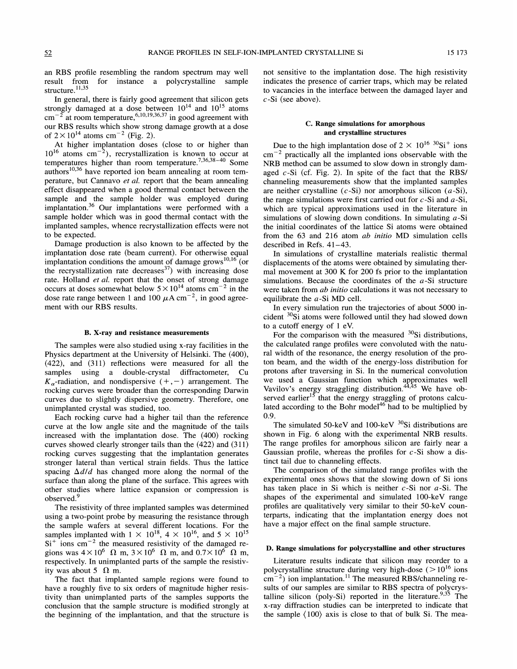an RBS profile resembling the random spectrum may well result from for instance a polycrystalline sample structure.<sup>11,35</sup>

In general, there is fairly good agreement that silicon gets strongly damaged at a dose between  $10^{14}$  and  $10^{15}$  atoms  $\text{cm}^{-2}$  at room temperature between  $10^{14}$  and  $10^{15}$  atoms<br> $10,19,36,37$  in good agreement with our RBS results which show strong damage growth at a dose of  $2 \times 10^{14}$  atoms cm<sup>-2</sup> (Fig. 2).

At higher implantation doses (close to or higher than  $10^{16}$  atoms cm<sup>-2</sup>), recrystallization is known to occur at temperatures higher than room temperature.<sup>',36,38-40</sup> Some authors<sup>10,36</sup> have reported ion beam annealing at room temperature, but Cannavo et al. report that the beam annealing effect disappeared when a good thermal contact between the sample and the sample holder was employed during implantation.<sup>36</sup> Our implantations were performed with a sample holder which was in good thermal contact with the implanted samples, whence recrystallization effects were not to be expected.

Damage production is also known to be affected by the implantation dose rate (beam current). For otherwise equal 'implantation conditions the amount of damage grows<sup>10,16</sup> (or the recrystallization rate decreases  $37$ ) with increasing dose rate. Holland *et al.* report that the onset of strong damage occurs at doses somewhat below  $5 \times 10^{14}$  atoms cm<sup>-2</sup> in the dose rate range between 1 and 100  $\mu$ A cm<sup>-2</sup>, in good agreement with our RBS results.

#### B. X-ray and resistance measurements

The samples were also studied using x-ray facilities in the Physics department at the University of Helsinki. The (400),  $(422)$ , and  $(311)$  reflections were measured for all the samples using a double-crystal diffractometer, Cu  $K_{\alpha}$ -radiation, and nondispersive  $(+,-)$  arrangement. The rocking curves were broader than the corresponding Darwin curves due to slightly dispersive geometry. Therefore, one unimplanted crystal was studied, too.

Each rocking curve had a higher tail than the reference curve at the low angle site and the magnitude of the tails increased with the implantation dose. The (400) rocking curves showed clearly stronger tails than the (422) and (311) rocking curves suggesting that the implantation generates stronger lateral than vertical strain fields. Thus the lattice spacing  $\Delta d/d$  has changed more along the normal of the surface than along the plane of the surface. This agrees with other studies where lattice expansion or compression is observed.<sup>9</sup>

The resistivity of three implanted samples was determined using a two-point probe by measuring the resistance through the sample wafers at several different locations. For the samples implanted with  $1 \times 10^{18}$ ,  $4 \times 10^{16}$ , and  $5 \times 10^{15}$  $Si<sup>+</sup>$  ions cm<sup>-2</sup> the measured resistivity of the damaged regions was  $4 \times 10^6$   $\Omega$  m,  $3 \times 10^6$   $\Omega$  m, and  $0.7 \times 10^6$   $\Omega$  m, respectively. In unimplanted parts of the sample the resistivity was about 5  $\Omega$  m.

The fact that implanted sample regions were found to have a roughly five to six orders of magnitude higher resistivity than unimplanted parts of the samples supports the conclusion that the sample structure is modified strongly at the beginning of the implantation, and that the structure is not sensitive to the implantation dose. The high resistivity indicates the presence of carrier traps, which may be related to vacancies in the interface between the damaged layer and  $c$ -Si (see above).

## C. Range simulations for amorphous and crystalline structures

Due to the high implantation dose of  $2 \times 10^{16}$  <sup>30</sup>Si<sup>+</sup> ions  $cm^{-2}$  practically all the implanted ions observable with the NRB method can be assumed to slow down in strongly damaged  $c-Si$  (cf. Fig. 2). In spite of the fact that the RBS/ channeling measurements show that the implanted samples are neither crystalline  $(c-Si)$  nor amorphous silicon  $(a-Si)$ , the range simulations were first carried out for  $c$ -Si and  $a$ -Si, which are typical approximations used in the literature in simulations of slowing down conditions. In simulating  $a$ -Si the initial coordinates of the lattice Si atoms were obtained from the 63 and 216 atom *ab initio* MD simulation cells described in Refs. 41—43.

In simulations of crystalline materials realistic thermal displacements of the atoms were obtained by simulating thermal movement at 300 K for 200 fs prior to the implantation simulations. Because the coordinates of the  $a$ -Si structure were taken from *ab initio* calculations it was not necessary to equilibrate the a-Si MD cell.

In every simulation run the trajectories of about 5000 incident  $30$ Si atoms were followed until they had slowed down to a cutoff energy of <sup>1</sup> eV.

For the comparison with the measured  $^{30}Si$  distributions, the calculated range profiles were convoluted with the natural width of the resonance, the energy resolution of the proton beam, and the width of the energy-loss distribution for protons after traversing in Si. In the numerical convolution we used a Gaussian function which approximates well Vavilov's energy straggling distribution.<sup>44,45</sup> We have observed earlier<sup>15</sup> that the energy straggling of protons calcuated according to the Bohr model<sup> $46$ </sup> had to be multiplied by 0.9.

The simulated 50-keV and 100-keV  $^{30}$ Si distributions are shown in Fig. 6 along with the experimental NRB results. The range profiles for amorphous silicon are fairly near a Gaussian profile, whereas the profiles for  $c$ -Si show a distinct tail due to channeling effects.

The comparison of the simulated range profiles with the experimental ones shows that the slowing down of Si ions has taken place in Si which is neither  $c$ -Si nor  $a$ -Si. The shapes of the experimental and simulated 100-keV range profiles are qualitatively very similar to their 50-keV counterparts, indicating that the implantation energy does not have a major effect on the final sample structure.

### D. Range simulations for polycrystalline and other structures

Literature results indicate that silicon may reorder to a polycrystalline structure during very high-dose ( $>10^{16}$  ions polycrystalline structure during very high-dose  $(>10^{16} \text{ ions} \text{cm}^{-2})$  ion implantation.<sup>11</sup> The measured RBS/channeling results of our samples are similar to RBS spectra of polycrystalline silicon (poly-Si) reported in the literature.  $9.35$  The x-ray diffraction studies can be interpreted to indicate that the sample  $(100)$  axis is close to that of bulk Si. The mea-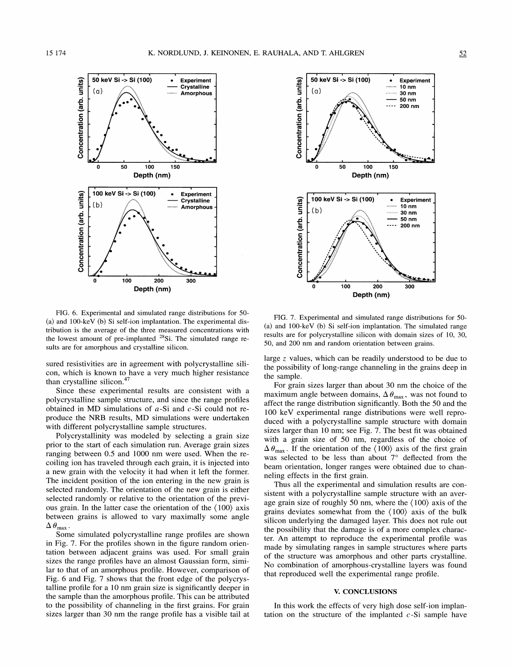

FIG. 6. Experimental and simulated range distributions for 50- (a) and 100-keV (b) Si self-ion implantation. The experimental distribution is the average of the three measured concentrations with the lowest amount of pre-implanted  $28$ Si. The simulated range results are for amorphous and crystalline silicon.

sured resistivities are in agreement with polycrystalline silicon, which is known to have a very much higher resistance than crystalline silicon.<sup>47</sup>

Since these experimental results are consistent with a polycrystalline sample structure, and since the range profiles obtained in MD simulations of  $a-Si$  and  $c-Si$  could not reproduce the NRB results, MD simulations were undertaken with different polycrystalline sample structures.

Polycrystallinity was modeled by selecting a grain size prior to the start of each simulation run. Average grain sizes ranging between 0.5 and 1000 nm were used. When the recoiling ion has traveled through each grain, it is injected into a new grain with the velocity it had when it left the former. The incident position of the ion entering in the new grain is selected randomly. The orientation of the new grain is either selected randomly or relative to the orientation of the previous grain. In the latter case the orientation of the (100) axis between grains is allowed to vary maximally some angle  $\Delta \theta_{\text{max}}$ .

Some simulated polycrystalline range profiles are shown in Fig. 7. For the profiles shown in the figure random orientation between adjacent grains was used. For small grain sizes the range profiles have an almost Gaussian form, similar to that of an amorphous profile. However, comparison of Fig. 6 and Fig. 7 shows that the front edge of the polycrystalline profile for a 10 nm grain size is significantly deeper in the sample than the amorphous profile. This can be attributed to the possibility of channeling in the first grains. For grain sizes larger than 30 nm the range profile has a visible tail at



FIG. 7. Experimental and simulated range distributions for 50- (a) and 100-keV (b) Si self-ion implantation. The simulated range results are for polycrystalline silicon with domain sizes of 10, 30, 50, and 200 nm and random orientation between grains.

large z values, which can be readily understood to be due to the possibility of long-range channeling in the grains deep in the sample.

For grain sizes larger than about 30 nm the choice of the maximum angle between domains,  $\Delta \theta_{\text{max}}$ , was not found to affect the range distribution significantly. Both the 50 and the 100 keV experimental range distributions were well reproduced with a polycrystalline sample structure with domain sizes larger than 10 nm; see Fig. 7. The best fit was obtained with a grain size of 50 nm, regardless of the choice of  $\Delta \theta_{\text{max}}$ . If the orientation of the (100) axis of the first grain was selected to be less than about  $7^\circ$  deflected from the beam orientation, longer ranges were obtained due to channeling effects in the first grain.

Thus all the experimental and simulation results are consistent with a polycrystalline sample structure with an average grain size of roughly 50 nm, where the  $(100)$  axis of the grains deviates somewhat from the  $(100)$  axis of the bulk silicon underlying the damaged layer. This does not rule out the possibility that the damage is of a more complex character. An attempt to reproduce the experimental profile was made by simulating ranges in sample structures where parts of the structure was amorphous and other parts crystalline. No combination of amorphous-crystalline layers was found that reproduced well the experimental range profile.

### V. CONCLUSIONS

In this work the effects of very high dose self-ion implantation on the structure of the implanted  $c$ -Si sample have